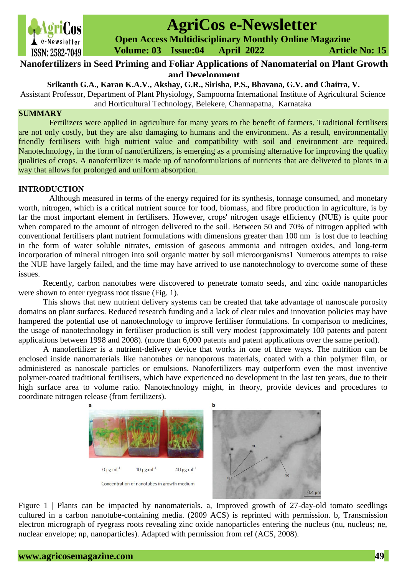

# **AgriCos e-Newsletter**

 **Open Access Multidisciplinary Monthly Online Magazine**

 **ISSN: 2582-7049 Volume: 03 Issue:04 April 2022 Article No: 15** 

# **Nanofertilizers in Seed Priming and Foliar Applications of Nanomaterial on Plant Growth and Development**

# **Srikanth G.A., Karan K.A.V., Akshay, G.R., Sirisha, P.S., Bhavana, G.V. and Chaitra, V.**

Assistant Professor, Department of Plant Physiology, Sampoorna International Institute of Agricultural Science and Horticultural Technology, Belekere, Channapatna, Karnataka

### **SUMMARY**

Fertilizers were applied in agriculture for many years to the benefit of farmers. Traditional fertilisers are not only costly, but they are also damaging to humans and the environment. As a result, environmentally friendly fertilisers with high nutrient value and compatibility with soil and environment are required. Nanotechnology, in the form of nanofertilizers, is emerging as a promising alternative for improving the quality qualities of crops. A nanofertilizer is made up of nanoformulations of nutrients that are delivered to plants in a way that allows for prolonged and uniform absorption.

### **INTRODUCTION**

Although measured in terms of the energy required for its synthesis, tonnage consumed, and monetary worth, nitrogen, which is a critical nutrient source for food, biomass, and fibre production in agriculture, is by far the most important element in fertilisers. However, crops' nitrogen usage efficiency (NUE) is quite poor when compared to the amount of nitrogen delivered to the soil. Between 50 and 70% of nitrogen applied with conventional fertilisers plant nutrient formulations with dimensions greater than 100 nm is lost due to leaching in the form of water soluble nitrates, emission of gaseous ammonia and nitrogen oxides, and long-term incorporation of mineral nitrogen into soil organic matter by soil microorganisms1 Numerous attempts to raise the NUE have largely failed, and the time may have arrived to use nanotechnology to overcome some of these issues.

Recently, carbon nanotubes were discovered to penetrate tomato seeds, and zinc oxide nanoparticles were shown to enter ryegrass root tissue (Fig. 1).

This shows that new nutrient delivery systems can be created that take advantage of nanoscale porosity domains on plant surfaces. Reduced research funding and a lack of clear rules and innovation policies may have hampered the potential use of nanotechnology to improve fertiliser formulations. In comparison to medicines, the usage of nanotechnology in fertiliser production is still very modest (approximately 100 patents and patent applications between 1998 and 2008). (more than 6,000 patents and patent applications over the same period).

A nanofertilizer is a nutrient-delivery device that works in one of three ways. The nutrition can be enclosed inside nanomaterials like nanotubes or nanoporous materials, coated with a thin polymer film, or administered as nanoscale particles or emulsions. Nanofertilizers may outperform even the most inventive polymer-coated traditional fertilisers, which have experienced no development in the last ten years, due to their high surface area to volume ratio. Nanotechnology might, in theory, provide devices and procedures to coordinate nitrogen release (from fertilizers).



Figure 1 | Plants can be impacted by nanomaterials. a, Improved growth of 27-day-old tomato seedlings cultured in a carbon nanotube-containing media. (2009 ACS) is reprinted with permission. b, Transmission electron micrograph of ryegrass roots revealing zinc oxide nanoparticles entering the nucleus (nu, nucleus; ne, nuclear envelope; np, nanoparticles). Adapted with permission from ref (ACS, 2008).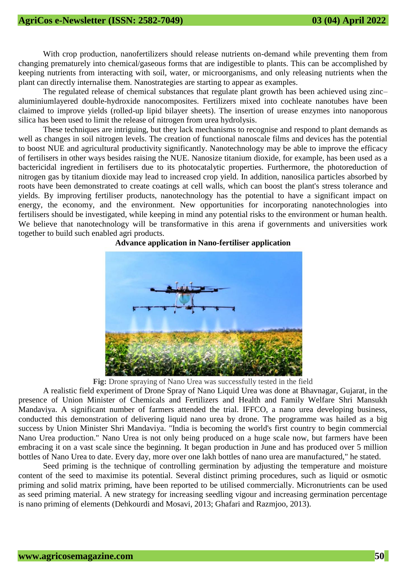With crop production, nanofertilizers should release nutrients on-demand while preventing them from changing prematurely into chemical/gaseous forms that are indigestible to plants. This can be accomplished by keeping nutrients from interacting with soil, water, or microorganisms, and only releasing nutrients when the plant can directly internalise them. Nanostrategies are starting to appear as examples.

The regulated release of chemical substances that regulate plant growth has been achieved using zinc– aluminiumlayered double-hydroxide nanocomposites. Fertilizers mixed into cochleate nanotubes have been claimed to improve yields (rolled-up lipid bilayer sheets). The insertion of urease enzymes into nanoporous silica has been used to limit the release of nitrogen from urea hydrolysis.

These techniques are intriguing, but they lack mechanisms to recognise and respond to plant demands as well as changes in soil nitrogen levels. The creation of functional nanoscale films and devices has the potential to boost NUE and agricultural productivity significantly. Nanotechnology may be able to improve the efficacy of fertilisers in other ways besides raising the NUE. Nanosize titanium dioxide, for example, has been used as a bactericidal ingredient in fertilisers due to its photocatalytic properties. Furthermore, the photoreduction of nitrogen gas by titanium dioxide may lead to increased crop yield. In addition, nanosilica particles absorbed by roots have been demonstrated to create coatings at cell walls, which can boost the plant's stress tolerance and yields. By improving fertiliser products, nanotechnology has the potential to have a significant impact on energy, the economy, and the environment. New opportunities for incorporating nanotechnologies into fertilisers should be investigated, while keeping in mind any potential risks to the environment or human health. We believe that nanotechnology will be transformative in this arena if governments and universities work together to build such enabled agri products.



#### **Advance application in Nano-fertiliser application**

**Fig:** Drone spraying of Nano Urea was successfully tested in the field

A realistic field experiment of Drone Spray of Nano Liquid Urea was done at Bhavnagar, Gujarat, in the presence of Union Minister of Chemicals and Fertilizers and Health and Family Welfare Shri Mansukh Mandaviya. A significant number of farmers attended the trial. IFFCO, a nano urea developing business, conducted this demonstration of delivering liquid nano urea by drone. The programme was hailed as a big success by Union Minister Shri Mandaviya. "India is becoming the world's first country to begin commercial Nano Urea production." Nano Urea is not only being produced on a huge scale now, but farmers have been embracing it on a vast scale since the beginning. It began production in June and has produced over 5 million bottles of Nano Urea to date. Every day, more over one lakh bottles of nano urea are manufactured," he stated.

Seed priming is the technique of controlling germination by adjusting the temperature and moisture content of the seed to maximise its potential. Several distinct priming procedures, such as liquid or osmotic priming and solid matrix priming, have been reported to be utilised commercially. Micronutrients can be used as seed priming material. A new strategy for increasing seedling vigour and increasing germination percentage is nano priming of elements (Dehkourdi and Mosavi, 2013; Ghafari and Razmjoo, 2013).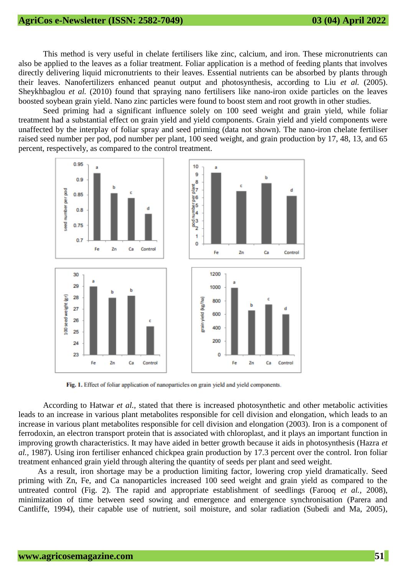## **AgriCos e-Newsletter (ISSN: 2582-7049) 03 (04) April 2022**

This method is very useful in chelate fertilisers like zinc, calcium, and iron. These micronutrients can also be applied to the leaves as a foliar treatment. Foliar application is a method of feeding plants that involves directly delivering liquid micronutrients to their leaves. Essential nutrients can be absorbed by plants through their leaves. Nanofertilizers enhanced peanut output and photosynthesis, according to Liu *et al.* (2005). Sheykhbaglou *et al.* (2010) found that spraying nano fertilisers like nano-iron oxide particles on the leaves boosted soybean grain yield. Nano zinc particles were found to boost stem and root growth in other studies.

Seed priming had a significant influence solely on 100 seed weight and grain yield, while foliar treatment had a substantial effect on grain yield and yield components. Grain yield and yield components were unaffected by the interplay of foliar spray and seed priming (data not shown). The nano-iron chelate fertiliser raised seed number per pod, pod number per plant, 100 seed weight, and grain production by 17, 48, 13, and 65 percent, respectively, as compared to the control treatment.



Fig. 1. Effect of foliar application of nanoparticles on grain yield and yield components.

According to Hatwar *et al.,* stated that there is increased photosynthetic and other metabolic activities leads to an increase in various plant metabolites responsible for cell division and elongation, which leads to an increase in various plant metabolites responsible for cell division and elongation (2003). Iron is a component of ferrodoxin, an electron transport protein that is associated with chloroplast, and it plays an important function in improving growth characteristics. It may have aided in better growth because it aids in photosynthesis (Hazra *et al.,* 1987). Using iron fertiliser enhanced chickpea grain production by 17.3 percent over the control. Iron foliar treatment enhanced grain yield through altering the quantity of seeds per plant and seed weight.

As a result, iron shortage may be a production limiting factor, lowering crop yield dramatically. Seed priming with Zn, Fe, and Ca nanoparticles increased 100 seed weight and grain yield as compared to the untreated control (Fig. 2). The rapid and appropriate establishment of seedlings (Farooq *et al.,* 2008), minimization of time between seed sowing and emergence and emergence synchronisation (Parera and Cantliffe, 1994), their capable use of nutrient, soil moisture, and solar radiation (Subedi and Ma, 2005),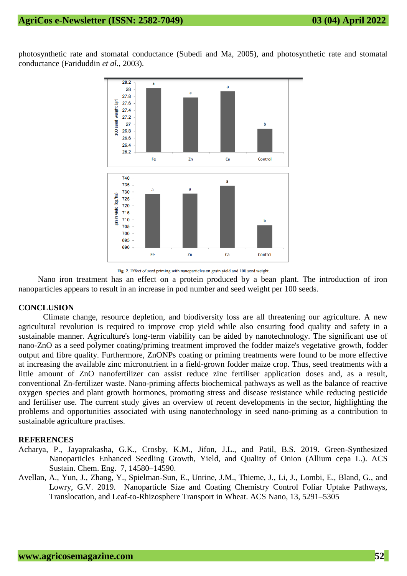photosynthetic rate and stomatal conductance (Subedi and Ma, 2005), and photosynthetic rate and stomatal conductance (Fariduddin *et al.,* 2003).



Fig. 2. Effect of seed priming with nanoparticles on grain yield and 100 seed weight.

Nano iron treatment has an effect on a protein produced by a bean plant. The introduction of iron nanoparticles appears to result in an increase in pod number and seed weight per 100 seeds.

#### **CONCLUSION**

Climate change, resource depletion, and biodiversity loss are all threatening our agriculture. A new agricultural revolution is required to improve crop yield while also ensuring food quality and safety in a sustainable manner. Agriculture's long-term viability can be aided by nanotechnology. The significant use of nano-ZnO as a seed polymer coating/priming treatment improved the fodder maize's vegetative growth, fodder output and fibre quality. Furthermore, ZnONPs coating or priming treatments were found to be more effective at increasing the available zinc micronutrient in a field-grown fodder maize crop. Thus, seed treatments with a little amount of ZnO nanofertilizer can assist reduce zinc fertiliser application doses and, as a result, conventional Zn-fertilizer waste. Nano-priming affects biochemical pathways as well as the balance of reactive oxygen species and plant growth hormones, promoting stress and disease resistance while reducing pesticide and fertiliser use. The current study gives an overview of recent developments in the sector, highlighting the problems and opportunities associated with using nanotechnology in seed nano-priming as a contribution to sustainable agriculture practises.

#### **REFERENCES**

- Acharya, P., Jayaprakasha, G.K., Crosby, K.M., Jifon, J.L., and Patil, B.S. 2019. Green-Synthesized Nanoparticles Enhanced Seedling Growth, Yield, and Quality of Onion (Allium cepa L.). ACS Sustain. Chem. Eng. 7, 14580–14590.
- Avellan, A., Yun, J., Zhang, Y., Spielman-Sun, E., Unrine, J.M., Thieme, J., Li, J., Lombi, E., Bland, G., and Lowry, G.V. 2019. Nanoparticle Size and Coating Chemistry Control Foliar Uptake Pathways, Translocation, and Leaf-to-Rhizosphere Transport in Wheat. ACS Nano, 13, 5291–5305